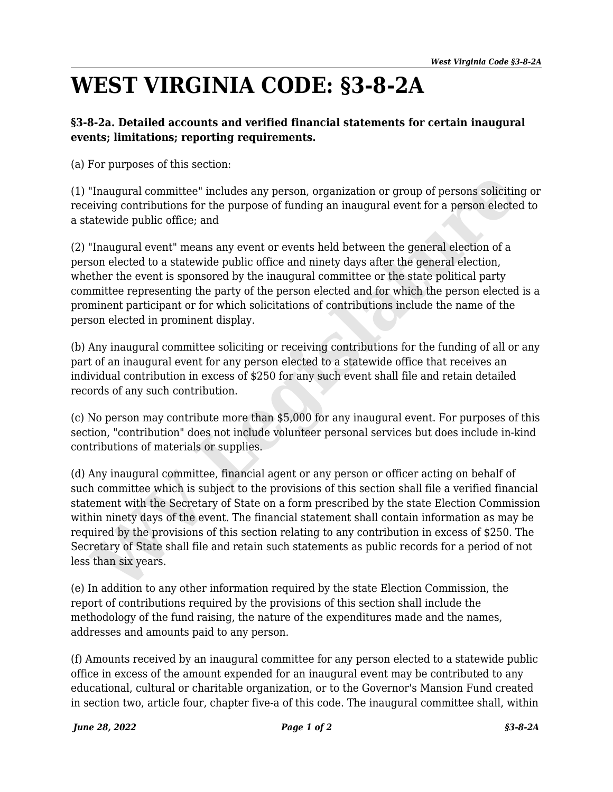## **WEST VIRGINIA CODE: §3-8-2A**

## **§3-8-2a. Detailed accounts and verified financial statements for certain inaugural events; limitations; reporting requirements.**

(a) For purposes of this section:

(1) "Inaugural committee" includes any person, organization or group of persons soliciting or receiving contributions for the purpose of funding an inaugural event for a person elected to a statewide public office; and

(2) "Inaugural event" means any event or events held between the general election of a person elected to a statewide public office and ninety days after the general election, whether the event is sponsored by the inaugural committee or the state political party committee representing the party of the person elected and for which the person elected is a prominent participant or for which solicitations of contributions include the name of the person elected in prominent display.

(b) Any inaugural committee soliciting or receiving contributions for the funding of all or any part of an inaugural event for any person elected to a statewide office that receives an individual contribution in excess of \$250 for any such event shall file and retain detailed records of any such contribution.

(c) No person may contribute more than \$5,000 for any inaugural event. For purposes of this section, "contribution" does not include volunteer personal services but does include in-kind contributions of materials or supplies.

(d) Any inaugural committee, financial agent or any person or officer acting on behalf of such committee which is subject to the provisions of this section shall file a verified financial statement with the Secretary of State on a form prescribed by the state Election Commission within ninety days of the event. The financial statement shall contain information as may be required by the provisions of this section relating to any contribution in excess of \$250. The Secretary of State shall file and retain such statements as public records for a period of not less than six years. "Inaugural committee" includes any person, organization or group of persons solicitiving contributions for the purpose of funding an inaugural event for a person elected<br>atewide public office; and<br>"Inaugural event" means a

(e) In addition to any other information required by the state Election Commission, the report of contributions required by the provisions of this section shall include the methodology of the fund raising, the nature of the expenditures made and the names, addresses and amounts paid to any person.

(f) Amounts received by an inaugural committee for any person elected to a statewide public office in excess of the amount expended for an inaugural event may be contributed to any educational, cultural or charitable organization, or to the Governor's Mansion Fund created in section two, article four, chapter five-a of this code. The inaugural committee shall, within